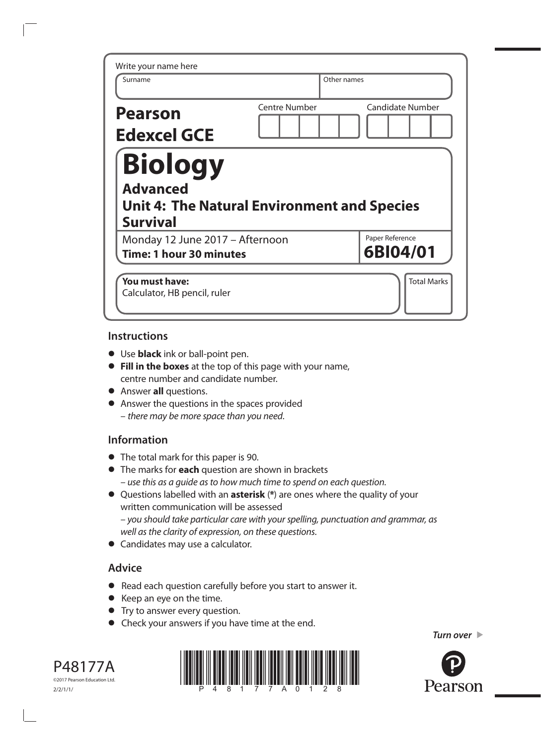| Surname                                                                                  | Other names          |                             |
|------------------------------------------------------------------------------------------|----------------------|-----------------------------|
| <b>Pearson</b><br><b>Edexcel GCE</b>                                                     | <b>Centre Number</b> | <b>Candidate Number</b>     |
| <b>Biology</b>                                                                           |                      |                             |
| <b>Advanced</b><br><b>Unit 4: The Natural Environment and Species</b><br><b>Survival</b> |                      |                             |
| Monday 12 June 2017 - Afternoon<br><b>Time: 1 hour 30 minutes</b>                        |                      | Paper Reference<br>6BI04/01 |

### **Instructions**

- **•** Use **black** ink or ball-point pen.
- **• Fill in the boxes** at the top of this page with your name, centre number and candidate number.
- **•** Answer **all** questions.
- **•** Answer the questions in the spaces provided – *there may be more space than you need*.

## **Information**

- **•** The total mark for this paper is 90.
- **•** The marks for **each** question are shown in brackets *– use this as a guide as to how much time to spend on each question.*
- **•** Questions labelled with an **asterisk** (**\***) are ones where the quality of your written communication will be assessed *– you should take particular care with your spelling, punctuation and grammar, as well as the clarity of expression, on these questions.*
- **•** Candidates may use a calculator.

# **Advice**

- **•** Read each question carefully before you start to answer it.
- **•** Keep an eye on the time.
- **•** Try to answer every question.
- **•** Check your answers if you have time at the end.





*Turn over* 

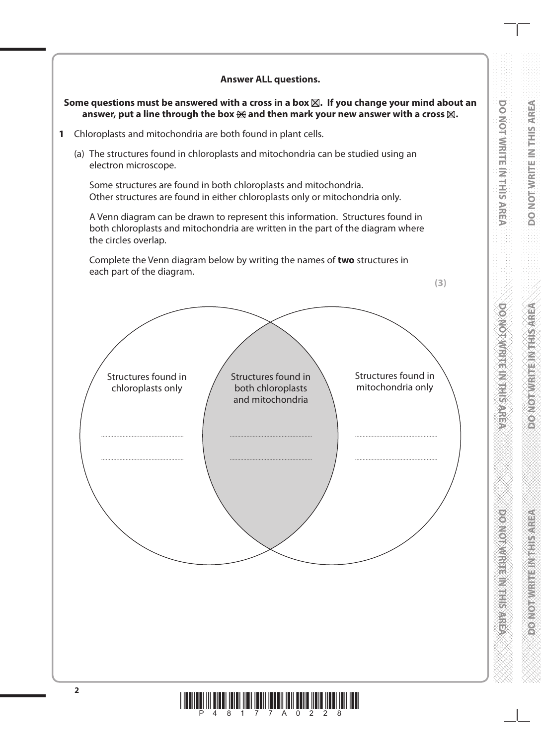### **Answer ALL questions.**

#### Some questions must be answered with a cross in a box  $\boxtimes$ . If you change your mind about an answer, put a line through the box  $\mathbb{\mathbb{R}}$  and then mark your new answer with a cross  $\mathbb{X}$ .

- **1** Chloroplasts and mitochondria are both found in plant cells.
	- (a) The structures found in chloroplasts and mitochondria can be studied using an electron microscope.

 Some structures are found in both chloroplasts and mitochondria. Other structures are found in either chloroplasts only or mitochondria only.

 A Venn diagram can be drawn to represent this information. Structures found in both chloroplasts and mitochondria are written in the part of the diagram where the circles overlap.

 Complete the Venn diagram below by writing the names of **two** structures in each part of the diagram.



\*P48177A0228\*

**(3)**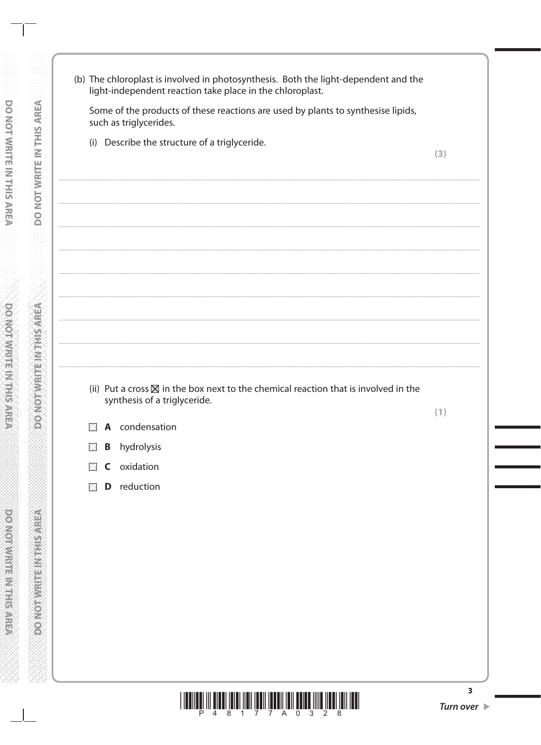(b) The chloroplast is involved in photosynthesis. Both the light-dependent and the light-independent reaction take place in the chloroplast.

Some of the products of these reactions are used by plants to synthesise lipids, such as triglycerides.

(i) Describe the structure of a triglyceride.

 $(3)$ 

- (ii) Put a cross  $\boxtimes$  in the box next to the chemical reaction that is involved in the synthesis of a triglyceride.
- $(1)$

- $\blacksquare$  A condensation
- hydrolysis  $\boxtimes$  B
- oxidation  $\boxtimes$  C
- $\Box$  **D** reduction



 $\overline{\mathbf{3}}$ 

**DO NOT WRITE IN THIS AREA** 

**DONOTWRITEINTHISAREA**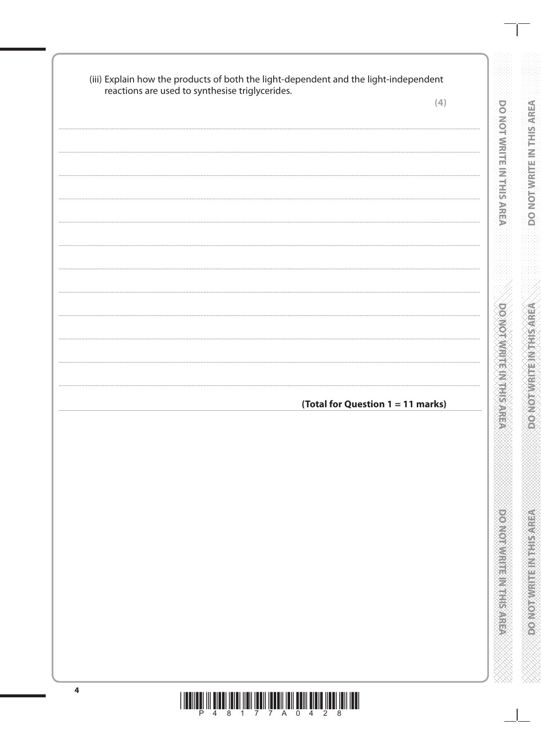| reactions are used to synthesise triglycerides. | (4)                               |  |
|-------------------------------------------------|-----------------------------------|--|
|                                                 |                                   |  |
|                                                 |                                   |  |
|                                                 |                                   |  |
|                                                 |                                   |  |
|                                                 |                                   |  |
|                                                 |                                   |  |
|                                                 |                                   |  |
|                                                 |                                   |  |
|                                                 |                                   |  |
|                                                 |                                   |  |
|                                                 |                                   |  |
|                                                 |                                   |  |
|                                                 | (Total for Question 1 = 11 marks) |  |
|                                                 |                                   |  |
|                                                 |                                   |  |
|                                                 |                                   |  |
|                                                 |                                   |  |
|                                                 |                                   |  |
|                                                 |                                   |  |
|                                                 |                                   |  |
|                                                 |                                   |  |
|                                                 |                                   |  |
|                                                 |                                   |  |
|                                                 |                                   |  |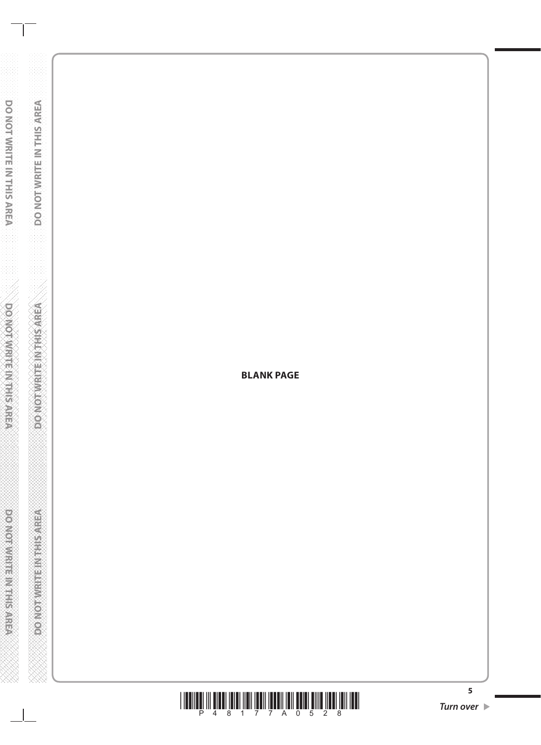

**BLANK PAGE**

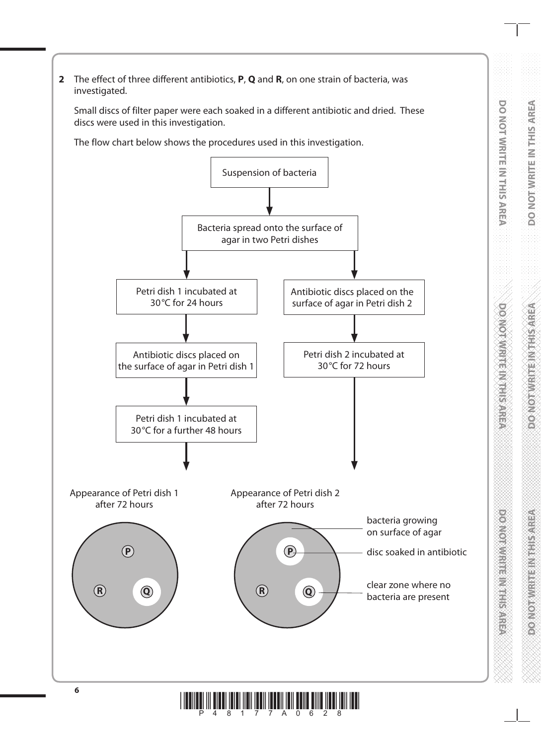**2** The effect of three different antibiotics, **P**, **Q** and **R**, on one strain of bacteria, was investigated.

Small discs of filter paper were each soaked in a different antibiotic and dried. These discs were used in this investigation.

The flow chart below shows the procedures used in this investigation.

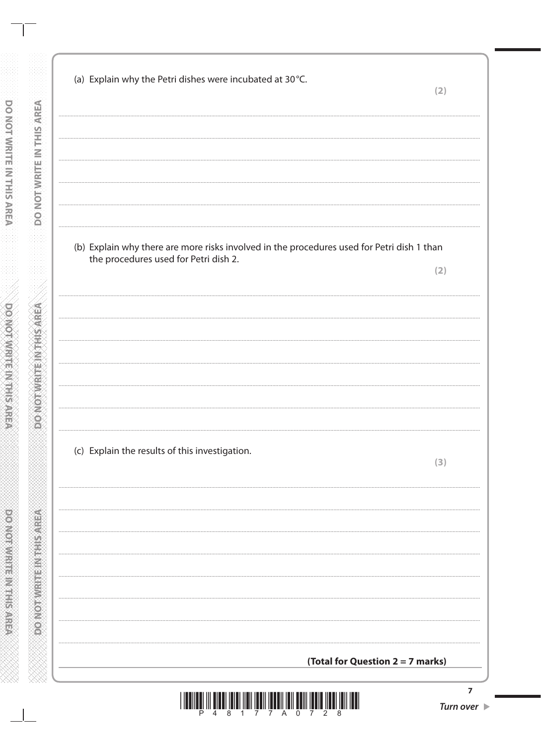| (a) Explain why the Petri dishes were incubated at 30°C.                                                                            | (2) |
|-------------------------------------------------------------------------------------------------------------------------------------|-----|
|                                                                                                                                     |     |
|                                                                                                                                     |     |
|                                                                                                                                     |     |
| (b) Explain why there are more risks involved in the procedures used for Petri dish 1 than<br>the procedures used for Petri dish 2. | (2) |
|                                                                                                                                     |     |
|                                                                                                                                     |     |
|                                                                                                                                     |     |
|                                                                                                                                     |     |
| (c) Explain the results of this investigation.                                                                                      | (3) |
|                                                                                                                                     |     |
|                                                                                                                                     |     |
|                                                                                                                                     |     |
|                                                                                                                                     |     |
| (Total for Question 2 = 7 marks)                                                                                                    |     |

DO NOT WRITE IN THIS AREA

**ON THE SERVE WAS ARRESTED FOR A SERVER WAS ARRESTED FOR A STATEMENT OF STATEM** 



 $\overline{7}$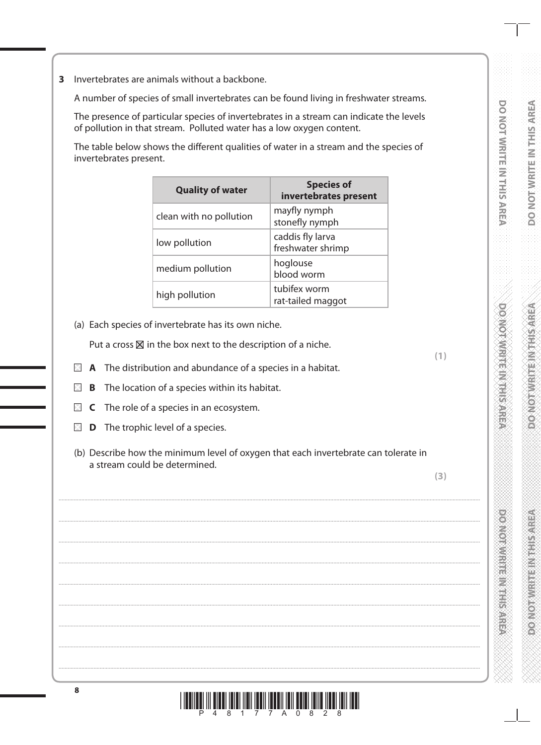**POSTOR AND IN THE PROPERTY** 

3 Invertebrates are animals without a backbone.

A number of species of small invertebrates can be found living in freshwater streams.

The presence of particular species of invertebrates in a stream can indicate the levels of pollution in that stream. Polluted water has a low oxygen content.

The table below shows the different qualities of water in a stream and the species of invertebrates present.

| <b>Quality of water</b> | <b>Species of</b><br>invertebrates present |
|-------------------------|--------------------------------------------|
| clean with no pollution | mayfly nymph<br>stonefly nymph             |
| low pollution           | caddis fly larva<br>freshwater shrimp      |
| medium pollution        | hoglouse<br>blood worm                     |
| high pollution          | tubifex worm<br>rat-tailed maggot          |

(a) Each species of invertebrate has its own niche.

Put a cross  $\boxtimes$  in the box next to the description of a niche.

- $\blacksquare$  **A** The distribution and abundance of a species in a habitat.
- $\blacksquare$  **B** The location of a species within its habitat.
- $\blacksquare$  **C** The role of a species in an ecosystem.
- $\blacksquare$  **D** The trophic level of a species.
- (b) Describe how the minimum level of oxygen that each invertebrate can tolerate in a stream could be determined.

 $(3)$ 

 $(1)$ 

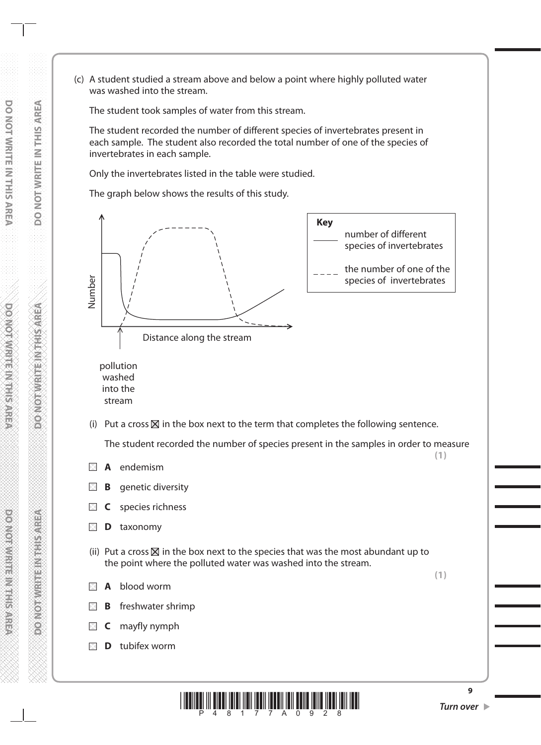(c) A student studied a stream above and below a point where highly polluted water was washed into the stream.

The student took samples of water from this stream.

 The student recorded the number of different species of invertebrates present in each sample. The student also recorded the total number of one of the species of invertebrates in each sample.

Only the invertebrates listed in the table were studied.

The graph below shows the results of this study.



\*P48177A0928\* *Turn over*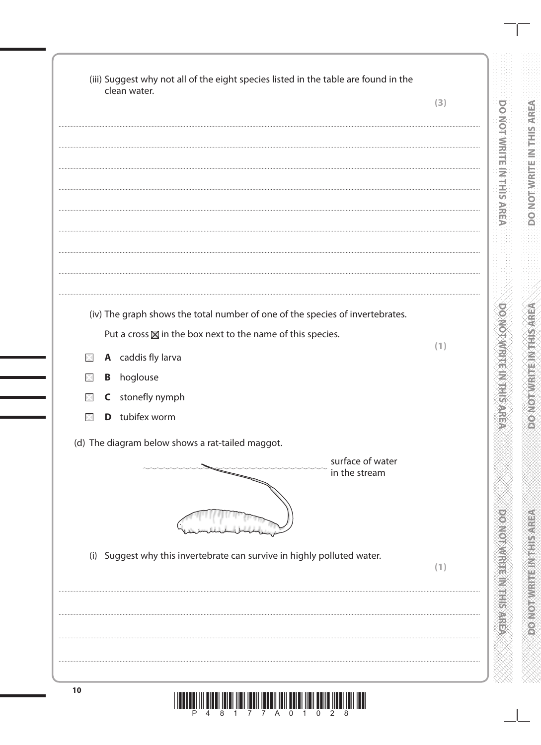| clean water.                                                                  | (3) |
|-------------------------------------------------------------------------------|-----|
|                                                                               |     |
|                                                                               |     |
|                                                                               |     |
|                                                                               |     |
|                                                                               |     |
|                                                                               |     |
|                                                                               |     |
|                                                                               |     |
| (iv) The graph shows the total number of one of the species of invertebrates. |     |
| Put a cross $\boxtimes$ in the box next to the name of this species.          |     |
| A caddis fly larva<br>$\times$                                                | (1) |
| <b>B</b> hoglouse<br>×                                                        |     |
| C stonefly nymph<br>$\boxtimes$                                               |     |
| <b>D</b> tubifex worm                                                         |     |
| (d) The diagram below shows a rat-tailed maggot.                              |     |
| surface of water<br>in the stream                                             |     |
|                                                                               |     |
|                                                                               |     |
|                                                                               |     |
| (i) Suggest why this invertebrate can survive in highly polluted water.       |     |
|                                                                               | (1) |
|                                                                               |     |
|                                                                               |     |
|                                                                               |     |
|                                                                               |     |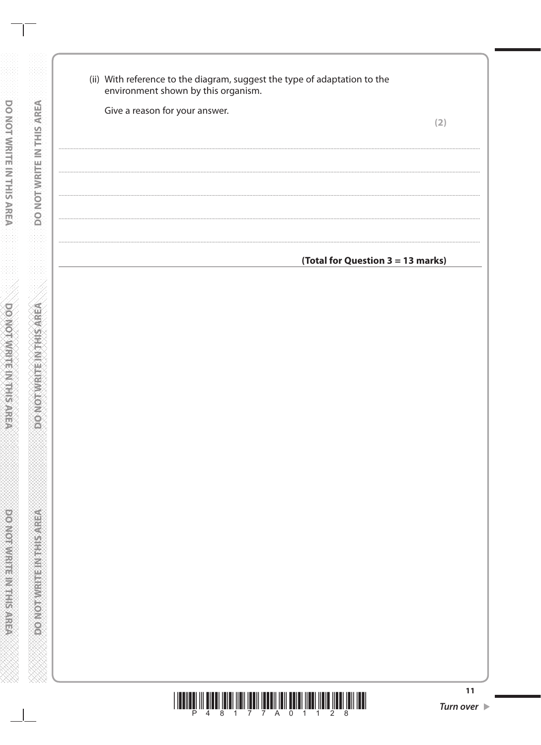(ii) With reference to the diagram, suggest the type of adaptation to the environment shown by this organism.

Give a reason for your answer.

**DO NOT WRITE IN THIS AREA** 

**DOMOTAWRITEIN THIS AREA** 

**PONOTWRITEIN THIS AREA** 

(Total for Question 3 = 13 marks)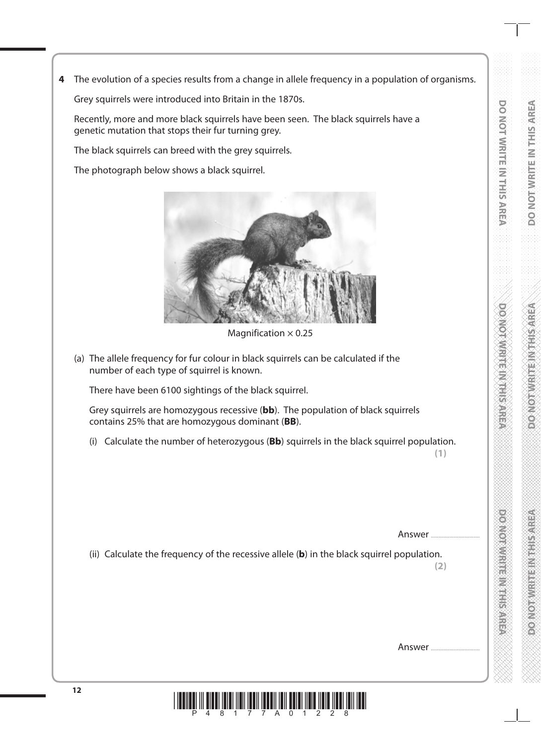**4** The evolution of a species results from a change in allele frequency in a population of organisms.

Grey squirrels were introduced into Britain in the 1870s.

Recently, more and more black squirrels have been seen. The black squirrels have a genetic mutation that stops their fur turning grey.

The black squirrels can breed with the grey squirrels.

The photograph below shows a black squirrel.



Magnification  $\times$  0.25

(a) The allele frequency for fur colour in black squirrels can be calculated if the number of each type of squirrel is known.

There have been 6100 sightings of the black squirreI.

 Grey squirrels are homozygous recessive (**bb**). The population of black squirrels contains 25% that are homozygous dominant (**BB**).

(i) Calculate the number of heterozygous (**Bb**) squirrels in the black squirrel population.

**(1)**

Answer ............

(ii) Calculate the frequency of the recessive allele (**b**) in the black squirrel population.

**(2)**

**DO NOT WRITE IN THIS AREA**

**POSTER AND RESIDENCE** 

Answer ................................

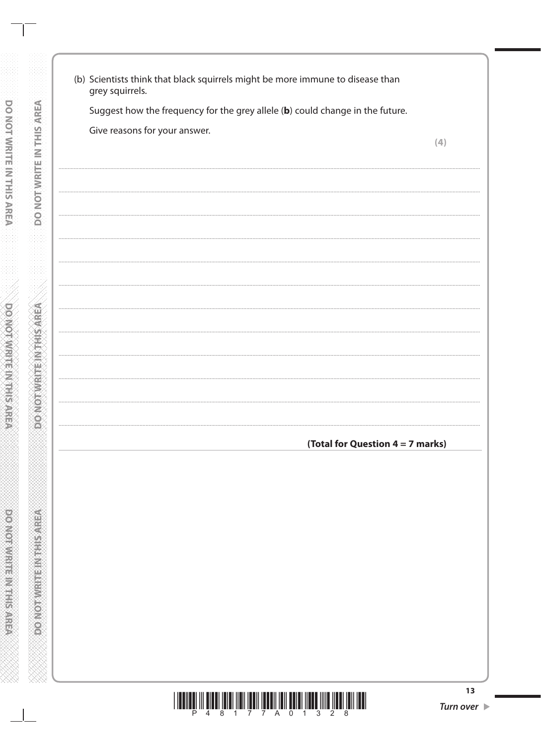| Suggest how the frequency for the grey allele (b) could change in the future. |     |
|-------------------------------------------------------------------------------|-----|
| Give reasons for your answer.                                                 |     |
|                                                                               | (4) |
|                                                                               |     |
|                                                                               |     |
|                                                                               |     |
|                                                                               |     |
|                                                                               |     |
|                                                                               |     |
|                                                                               |     |
|                                                                               |     |
|                                                                               |     |
|                                                                               |     |
|                                                                               |     |
|                                                                               |     |
|                                                                               |     |
|                                                                               |     |
|                                                                               |     |
|                                                                               |     |
|                                                                               |     |
| (Total for Question 4 = 7 marks)                                              |     |
|                                                                               |     |
|                                                                               |     |
|                                                                               |     |
|                                                                               |     |
|                                                                               |     |
|                                                                               |     |
|                                                                               |     |
|                                                                               |     |
|                                                                               |     |
|                                                                               |     |
|                                                                               |     |
|                                                                               |     |
|                                                                               |     |
|                                                                               |     |

**DO NOT WRITE IN THIS AREA** 

**DONOTWRITEIN THIS AREA** 

DO NOTWRITEIN THIS AREA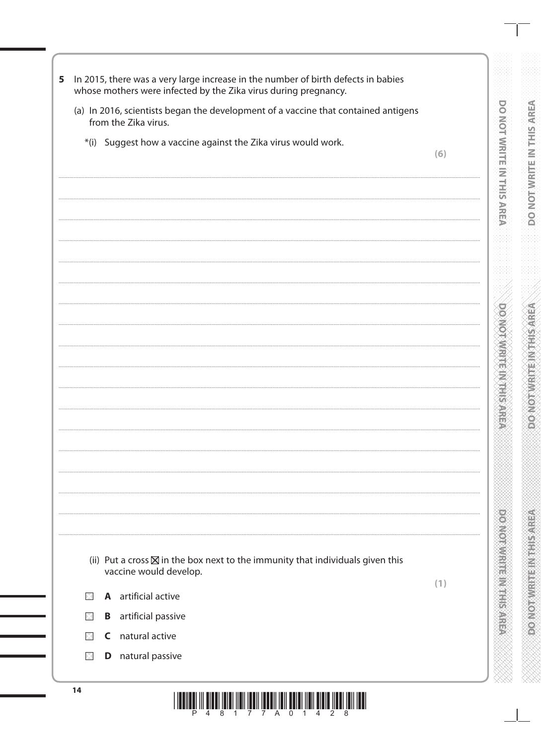| 5 | In 2015, there was a very large increase in the number of birth defects in babies<br>whose mothers were infected by the Zika virus during pregnancy. |                             |  |
|---|------------------------------------------------------------------------------------------------------------------------------------------------------|-----------------------------|--|
|   | (a) In 2016, scientists began the development of a vaccine that contained antigens<br>from the Zika virus.                                           | <u>p</u>                    |  |
|   | *(i) Suggest how a vaccine against the Zika virus would work.                                                                                        | NOTIVERITE                  |  |
|   |                                                                                                                                                      | (6)                         |  |
|   |                                                                                                                                                      | <b>INTHIS AREA</b>          |  |
|   |                                                                                                                                                      |                             |  |
|   |                                                                                                                                                      |                             |  |
|   |                                                                                                                                                      |                             |  |
|   |                                                                                                                                                      |                             |  |
|   |                                                                                                                                                      |                             |  |
|   |                                                                                                                                                      |                             |  |
|   |                                                                                                                                                      |                             |  |
|   |                                                                                                                                                      |                             |  |
|   |                                                                                                                                                      |                             |  |
|   |                                                                                                                                                      |                             |  |
|   |                                                                                                                                                      | <b>DOUNCING PROPERTY</b>    |  |
|   |                                                                                                                                                      | in<br>En                    |  |
|   |                                                                                                                                                      |                             |  |
|   |                                                                                                                                                      |                             |  |
|   |                                                                                                                                                      |                             |  |
|   |                                                                                                                                                      |                             |  |
|   |                                                                                                                                                      |                             |  |
|   |                                                                                                                                                      |                             |  |
|   |                                                                                                                                                      |                             |  |
|   | (ii) Put a cross $\boxtimes$ in the box next to the immunity that individuals given this                                                             |                             |  |
|   | vaccine would develop.                                                                                                                               | (1)                         |  |
|   | A artificial active<br>$\times$                                                                                                                      |                             |  |
|   | <b>B</b> artificial passive<br>$\times$                                                                                                              | <b>PONORMIE IN EINERGER</b> |  |
|   | <b>C</b> natural active<br>X                                                                                                                         |                             |  |
|   | natural passive<br>D                                                                                                                                 |                             |  |
|   |                                                                                                                                                      |                             |  |

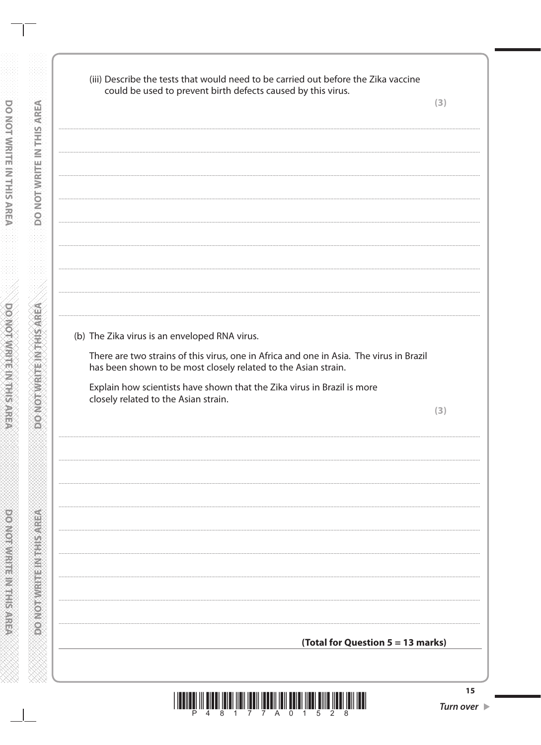| could be used to prevent birth defects caused by this virus.            |                                                                                         | (3) |
|-------------------------------------------------------------------------|-----------------------------------------------------------------------------------------|-----|
|                                                                         |                                                                                         |     |
|                                                                         |                                                                                         |     |
|                                                                         |                                                                                         |     |
|                                                                         |                                                                                         |     |
|                                                                         |                                                                                         |     |
|                                                                         |                                                                                         |     |
|                                                                         |                                                                                         |     |
|                                                                         |                                                                                         |     |
|                                                                         |                                                                                         |     |
|                                                                         |                                                                                         |     |
|                                                                         |                                                                                         |     |
| (b) The Zika virus is an enveloped RNA virus.                           |                                                                                         |     |
| has been shown to be most closely related to the Asian strain.          | There are two strains of this virus, one in Africa and one in Asia. The virus in Brazil |     |
| Explain how scientists have shown that the Zika virus in Brazil is more |                                                                                         |     |
| closely related to the Asian strain.                                    |                                                                                         | (3) |
|                                                                         |                                                                                         |     |
|                                                                         |                                                                                         |     |
|                                                                         |                                                                                         |     |
|                                                                         |                                                                                         |     |
|                                                                         |                                                                                         |     |
|                                                                         |                                                                                         |     |
|                                                                         |                                                                                         |     |
|                                                                         |                                                                                         |     |
|                                                                         |                                                                                         |     |
|                                                                         |                                                                                         |     |



**DOMOTIVIBITE INTERNATEA** 

**DO NOT WRITE IN THIS AREA**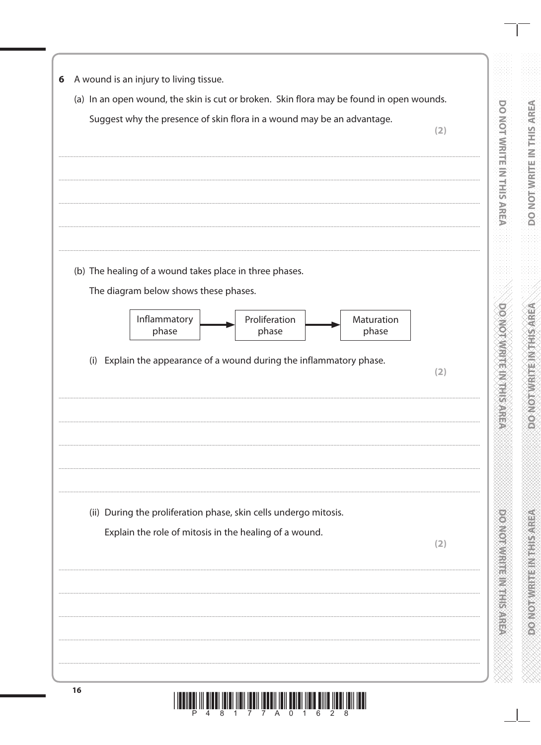| A wound is an injury to living tissue.<br>(a) In an open wound, the skin is cut or broken. Skin flora may be found in open wounds. |     |
|------------------------------------------------------------------------------------------------------------------------------------|-----|
| Suggest why the presence of skin flora in a wound may be an advantage.                                                             | (2) |
|                                                                                                                                    |     |
|                                                                                                                                    |     |
| (b) The healing of a wound takes place in three phases.                                                                            |     |
| The diagram below shows these phases.<br>Inflammatory<br>Proliferation<br>Maturation<br>phase<br>phase<br>phase                    |     |
| (i) Explain the appearance of a wound during the inflammatory phase.                                                               | (2) |
|                                                                                                                                    |     |
|                                                                                                                                    |     |
| (ii) During the proliferation phase, skin cells undergo mitosis.<br>Explain the role of mitosis in the healing of a wound.         |     |
|                                                                                                                                    | (2) |
|                                                                                                                                    |     |
|                                                                                                                                    |     |
| 16                                                                                                                                 |     |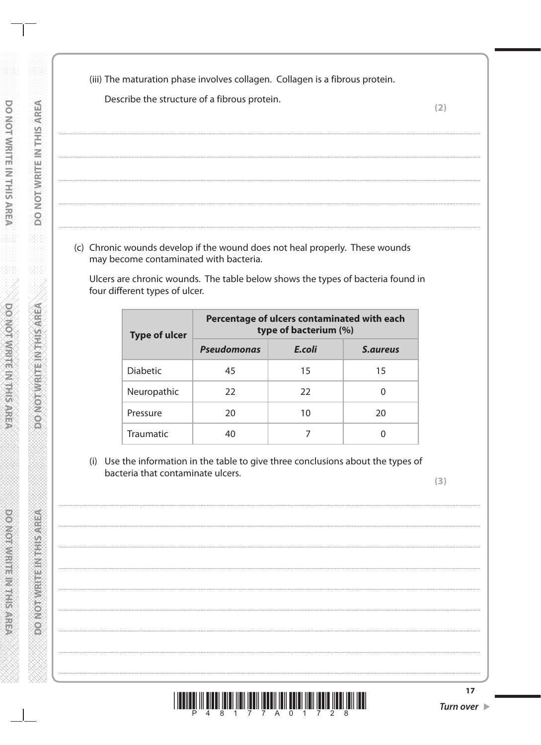(iii) The maturation phase involves collagen. Collagen is a fibrous protein.

Describe the structure of a fibrous protein.

 $(2)$ 

(c) Chronic wounds develop if the wound does not heal properly. These wounds may become contaminated with bacteria.

Ulcers are chronic wounds. The table below shows the types of bacteria found in four different types of ulcer.

| <b>Type of ulcer</b> | Percentage of ulcers contaminated with each<br>type of bacterium (%) |        |                 |  |
|----------------------|----------------------------------------------------------------------|--------|-----------------|--|
|                      | <b>Pseudomonas</b>                                                   | E.coli | <b>S.aureus</b> |  |
| <b>Diabetic</b>      | 45                                                                   | 15     | 15              |  |
| Neuropathic          | 22                                                                   | 22     |                 |  |
| Pressure             | 20                                                                   | 10     | 20              |  |
| Traumatic            |                                                                      |        |                 |  |

(i) Use the information in the table to give three conclusions about the types of bacteria that contaminate ulcers.

8 1 7

7 A 0 1

 $(3)$ 

**PONDOR CONTRACTOR** 

**DO NOT WRITE IN THIS AREA**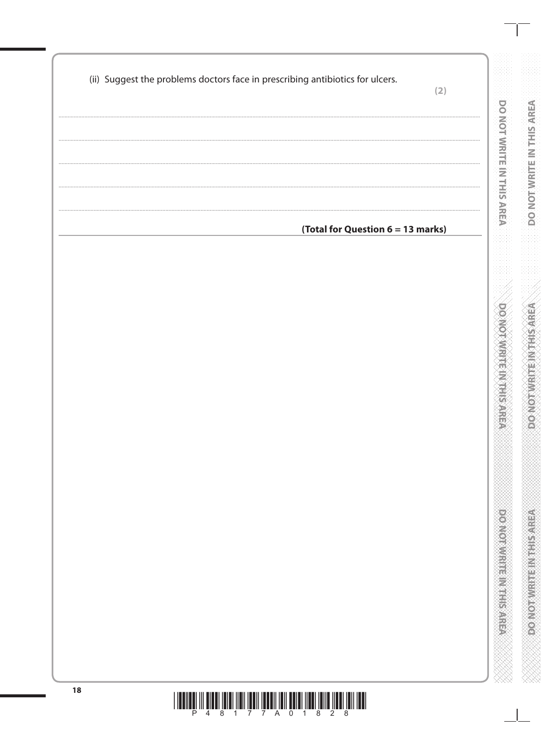| (ii) Suggest the problems doctors face in prescribing antibiotics for ulcers. | (2)                               |
|-------------------------------------------------------------------------------|-----------------------------------|
|                                                                               | .                                 |
|                                                                               |                                   |
|                                                                               |                                   |
|                                                                               |                                   |
|                                                                               |                                   |
|                                                                               | (Total for Question 6 = 13 marks) |
|                                                                               |                                   |
|                                                                               |                                   |
|                                                                               |                                   |
|                                                                               |                                   |
|                                                                               |                                   |
|                                                                               |                                   |
|                                                                               |                                   |
|                                                                               |                                   |
|                                                                               |                                   |
|                                                                               |                                   |
|                                                                               |                                   |
|                                                                               |                                   |
|                                                                               |                                   |
|                                                                               |                                   |
|                                                                               |                                   |
|                                                                               |                                   |
|                                                                               |                                   |
|                                                                               |                                   |
|                                                                               |                                   |
|                                                                               |                                   |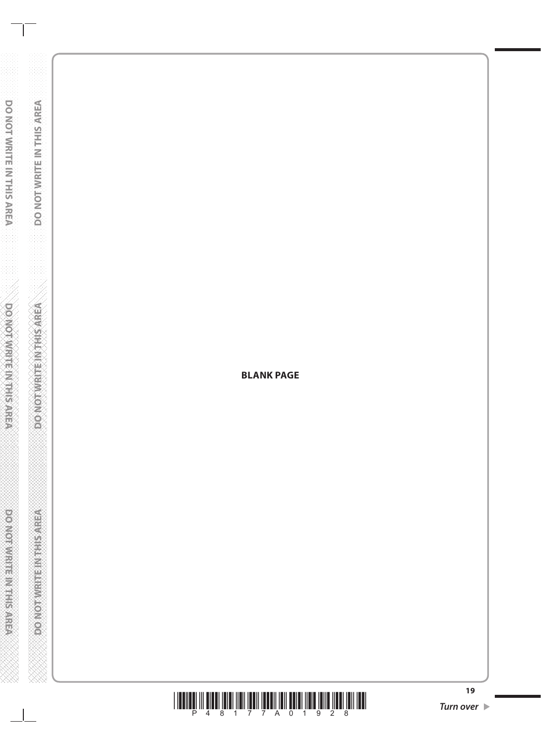

**<sup>19</sup>** \*P48177A01928\* *Turn over* 

**BLANK PAGE**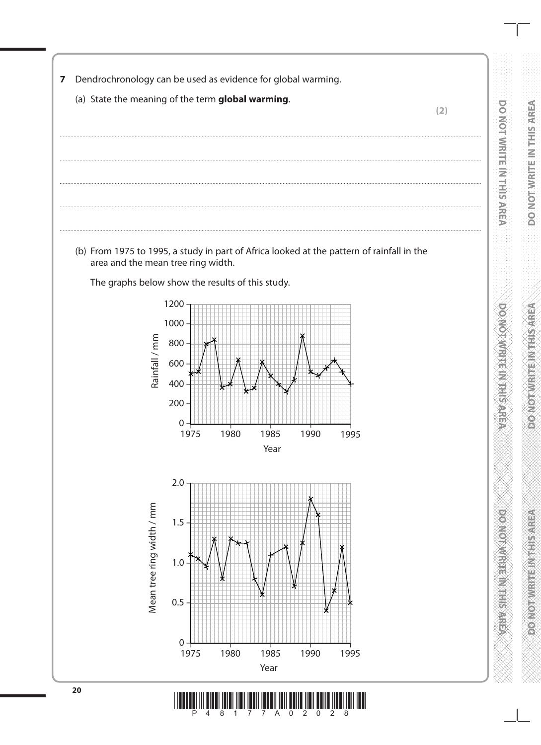

 $\frac{1}{2}$  $\frac{1}{0}$ 

A

 $\overline{0}$ 

 $\mathcal{P}$ 

 $\overline{8}$ 

 $\overline{1}$ 

 $\overline{4}$ 

F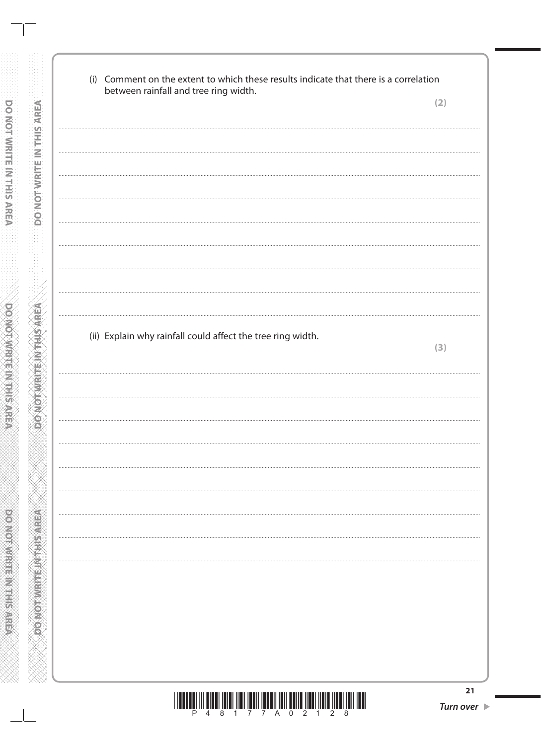(i) Comment on the extent to which these results indicate that there is a correlation between rainfall and tree ring width.  $(2)$ (ii) Explain why rainfall could affect the tree ring width.  $(3)$  $21$ 

**DO NOT WRITE IN THIS AREA** 

**DONOT WRITE IN THIS AREA** 

**DONOT WRITEIN THIS AREA**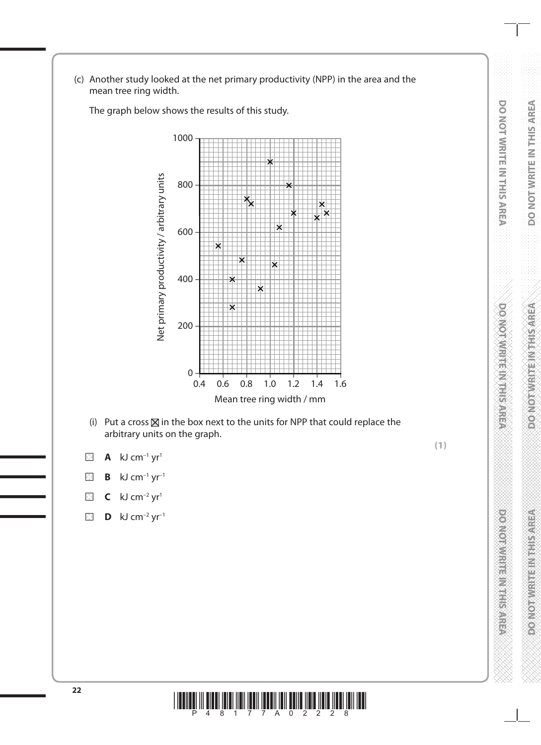(c) Another study looked at the net primary productivity (NPP) in the area and the mean tree ring width.

The graph below shows the results of this study.



- (i) Put a cross  $\boxtimes$  in the box next to the units for NPP that could replace the arbitrary units on the graph.
- $\blacksquare$  **A** kJ cm<sup>-1</sup> yr<sup>1</sup>
- **B**  $k$ J cm<sup>-1</sup> yr<sup>-1</sup>
- **C** kJ cm<sup>-2</sup> yr<sup>1</sup>
- $\mathbb{D}$  **D** kJ cm<sup>-2</sup> yr<sup>-1</sup>

**(1)**



**DO NOT WRITE IN THE INTERNATION** 

DO NOT WRITE IN THIS AREA



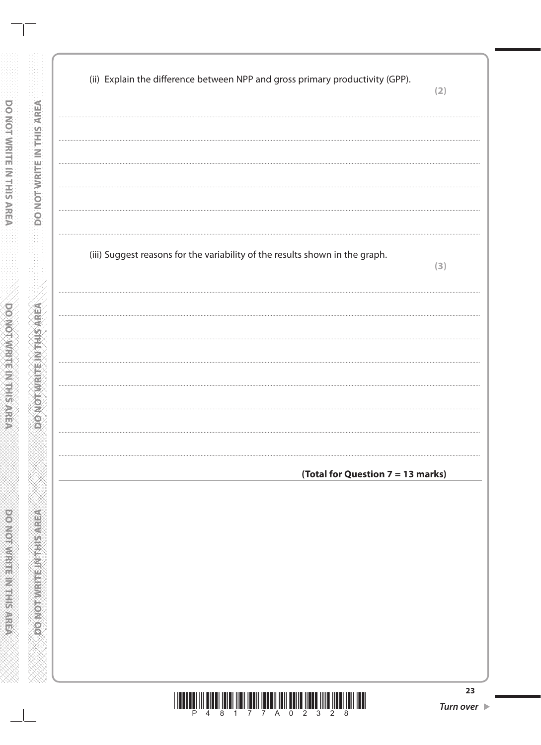|                              | (ii) Explain the difference between NPP and gross primary productivity (GPP). |     |
|------------------------------|-------------------------------------------------------------------------------|-----|
|                              |                                                                               | (2) |
|                              |                                                                               |     |
|                              |                                                                               |     |
|                              |                                                                               |     |
|                              |                                                                               |     |
| $\cdots$                     |                                                                               |     |
|                              |                                                                               |     |
|                              |                                                                               |     |
|                              |                                                                               |     |
|                              | (iii) Suggest reasons for the variability of the results shown in the graph.  |     |
|                              |                                                                               | (3) |
|                              |                                                                               |     |
|                              |                                                                               |     |
|                              |                                                                               |     |
| $\cdots$                     |                                                                               |     |
|                              |                                                                               |     |
|                              |                                                                               |     |
|                              |                                                                               |     |
|                              |                                                                               |     |
|                              |                                                                               |     |
|                              |                                                                               |     |
|                              |                                                                               |     |
|                              | (Total for Question 7 = 13 marks)                                             |     |
|                              |                                                                               |     |
|                              |                                                                               |     |
|                              |                                                                               |     |
|                              |                                                                               |     |
|                              |                                                                               |     |
|                              |                                                                               |     |
|                              |                                                                               |     |
|                              |                                                                               |     |
| <b>DONOTIVERED NITHSAREA</b> |                                                                               |     |
|                              |                                                                               |     |
|                              |                                                                               |     |
|                              |                                                                               |     |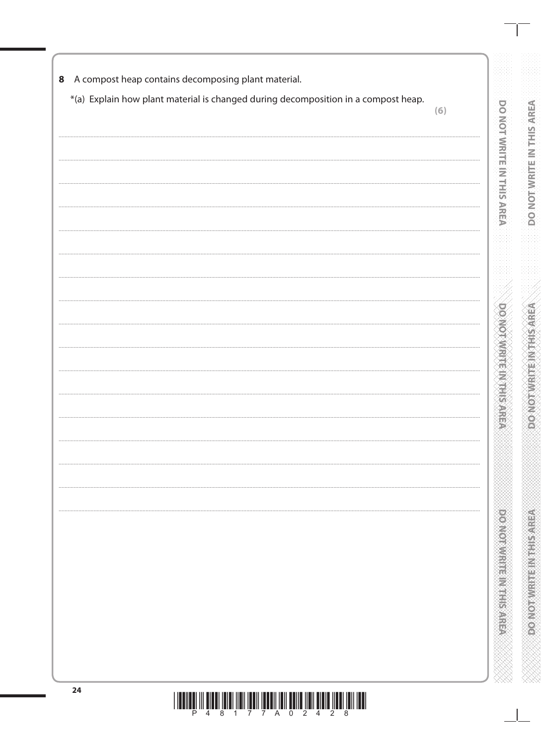| *(a) Explain how plant material is changed during decomposition in a compost heap. |     |
|------------------------------------------------------------------------------------|-----|
|                                                                                    | (6) |
|                                                                                    |     |
|                                                                                    |     |
|                                                                                    |     |
|                                                                                    |     |
|                                                                                    |     |
|                                                                                    |     |
|                                                                                    |     |
|                                                                                    |     |
|                                                                                    |     |
|                                                                                    |     |
|                                                                                    |     |
|                                                                                    |     |
|                                                                                    |     |
|                                                                                    |     |
|                                                                                    |     |
|                                                                                    |     |
|                                                                                    |     |
|                                                                                    |     |
|                                                                                    |     |
|                                                                                    |     |
|                                                                                    |     |
|                                                                                    |     |
|                                                                                    |     |
|                                                                                    |     |
|                                                                                    |     |
|                                                                                    |     |
|                                                                                    |     |
|                                                                                    |     |
|                                                                                    |     |
|                                                                                    |     |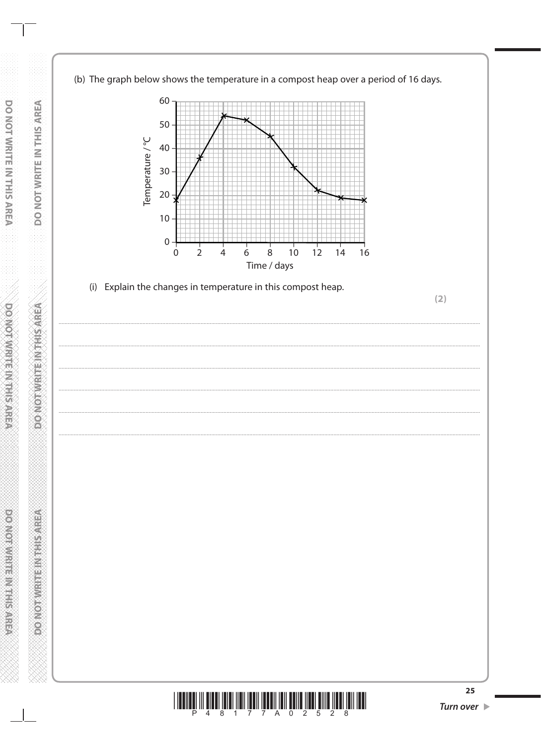(b) The graph below shows the temperature in a compost heap over a period of 16 days.



(i) Explain the changes in temperature in this compost heap.

**DO NOT WRITE IN THIS AREA** 

**DONOT WRITE IN THIS AREA** 

**PONOT WRITEIN THIS AREA** 

 $(2)$ 



 $25$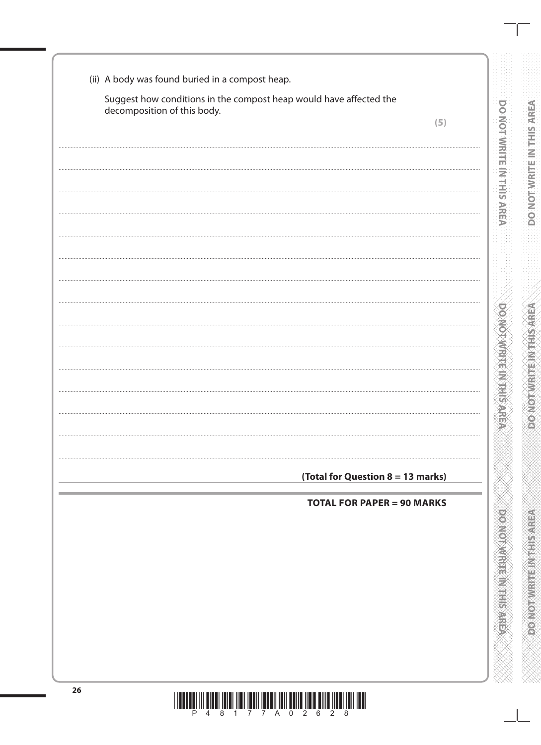| Suggest how conditions in the compost heap would have affected the<br>decomposition of this body. |  |                                   |  |
|---------------------------------------------------------------------------------------------------|--|-----------------------------------|--|
|                                                                                                   |  | (5)                               |  |
|                                                                                                   |  |                                   |  |
|                                                                                                   |  |                                   |  |
|                                                                                                   |  |                                   |  |
|                                                                                                   |  |                                   |  |
|                                                                                                   |  |                                   |  |
|                                                                                                   |  |                                   |  |
|                                                                                                   |  |                                   |  |
|                                                                                                   |  |                                   |  |
|                                                                                                   |  |                                   |  |
|                                                                                                   |  |                                   |  |
|                                                                                                   |  |                                   |  |
|                                                                                                   |  |                                   |  |
|                                                                                                   |  |                                   |  |
|                                                                                                   |  |                                   |  |
|                                                                                                   |  |                                   |  |
|                                                                                                   |  |                                   |  |
|                                                                                                   |  |                                   |  |
|                                                                                                   |  |                                   |  |
|                                                                                                   |  | (Total for Question 8 = 13 marks) |  |
|                                                                                                   |  | <b>TOTAL FOR PAPER = 90 MARKS</b> |  |
|                                                                                                   |  |                                   |  |
|                                                                                                   |  |                                   |  |
|                                                                                                   |  |                                   |  |
|                                                                                                   |  |                                   |  |
|                                                                                                   |  |                                   |  |
|                                                                                                   |  |                                   |  |
|                                                                                                   |  |                                   |  |
|                                                                                                   |  |                                   |  |
|                                                                                                   |  |                                   |  |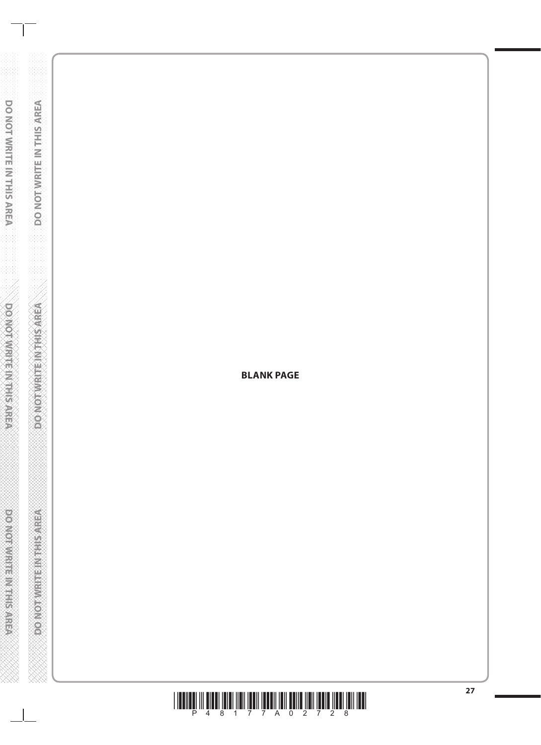

**DONOTWRITEINTHEAREA** 

**BLANK PAGE**